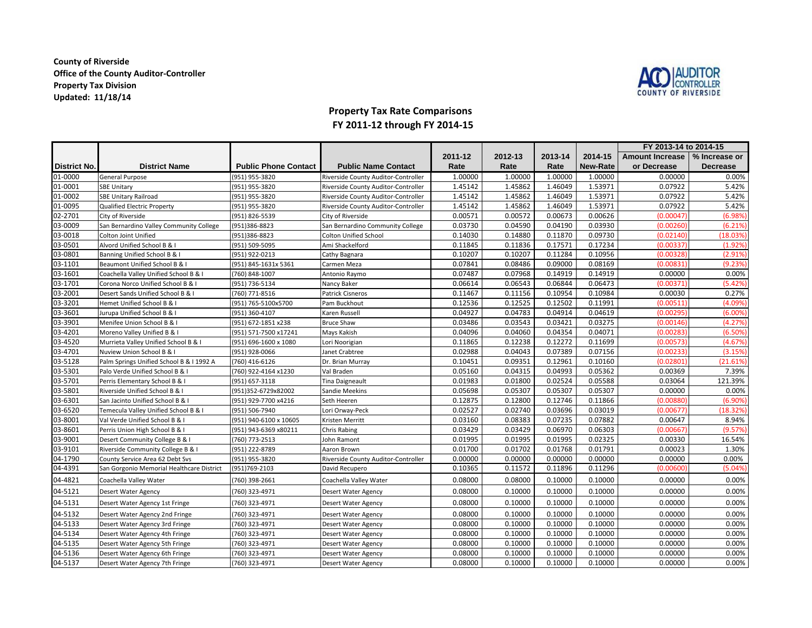## **County of Riverside Office of the County Auditor-ControllerProperty Tax DivisionUpdated: 11/18/14**



## **Property Tax Rate Comparisons FY 2011-12 through FY 2014-15**

|                     |                                           |                             |                                     |         |         |         |                 | FY 2013-14 to 2014-15           |            |
|---------------------|-------------------------------------------|-----------------------------|-------------------------------------|---------|---------|---------|-----------------|---------------------------------|------------|
|                     |                                           |                             |                                     | 2011-12 | 2012-13 | 2013-14 | 2014-15         | Amount Increase   % Increase or |            |
| <b>District No.</b> | <b>District Name</b>                      | <b>Public Phone Contact</b> | <b>Public Name Contact</b>          | Rate    | Rate    | Rate    | <b>New-Rate</b> | or Decrease                     | Decrease   |
| 01-0000             | General Purpose                           | (951) 955-3820              | Riverside County Auditor-Controller | 1.00000 | 1.00000 | 1.00000 | 1.00000         | 0.00000                         | 0.00%      |
| 01-0001             | <b>SBE Unitary</b>                        | (951) 955-3820              | Riverside County Auditor-Controller | 1.45142 | 1.45862 | 1.46049 | 1.53971         | 0.07922                         | 5.42%      |
| 01-0002             | <b>SBE Unitary Railroad</b>               | (951) 955-3820              | Riverside County Auditor-Controller | 1.45142 | 1.45862 | 1.46049 | 1.53971         | 0.07922                         | 5.42%      |
| 01-0095             | <b>Qualified Electric Property</b>        | (951) 955-3820              | Riverside County Auditor-Controller | 1.45142 | 1.45862 | 1.46049 | 1.53971         | 0.07922                         | 5.42%      |
| 02-2701             | City of Riverside                         | (951) 826-5539              | City of Riverside                   | 0.00571 | 0.00572 | 0.00673 | 0.00626         | (0.00047)                       | (6.98%     |
| 03-0009             | San Bernardino Valley Community College   | (951)386-8823               | San Bernardino Community College    | 0.03730 | 0.04590 | 0.04190 | 0.03930         | (0.00260)                       | (6.21%)    |
| 03-0018             | <b>Colton Joint Unified</b>               | (951)386-8823               | <b>Colton Unified School</b>        | 0.14030 | 0.14880 | 0.11870 | 0.09730         | (0.02140)                       | (18.03%)   |
| 03-0501             | Alvord Unified School B & I               | (951) 509-5095              | Ami Shackelford                     | 0.11845 | 0.11836 | 0.17571 | 0.17234         | (0.00337                        | $(1.92\%)$ |
| 03-0801             | Banning Unified School B & I              | (951) 922-0213              | Cathy Bagnara                       | 0.10207 | 0.10207 | 0.11284 | 0.10956         | (0.00328)                       | (2.91%)    |
| 03-1101             | Beaumont Unified School B & I             | (951) 845-1631x 5361        | Carmen Meza                         | 0.07841 | 0.08486 | 0.09000 | 0.08169         | (0.00831)                       | (9.23%)    |
| 03-1601             | Coachella Valley Unified School B & I     | (760) 848-1007              | Antonio Raymo                       | 0.07487 | 0.07968 | 0.14919 | 0.14919         | 0.00000                         | 0.00%      |
| 03-1701             | Corona Norco Unified School B & I         | (951) 736-5134              | Nancy Baker                         | 0.06614 | 0.06543 | 0.06844 | 0.06473         | (0.00371)                       | (5.42%)    |
| 03-2001             | Desert Sands Unified School B & I         | (760) 771-8516              | Patrick Cisneros                    | 0.11467 | 0.11156 | 0.10954 | 0.10984         | 0.00030                         | 0.27%      |
| 03-3201             | Hemet Unified School B & I                | (951) 765-5100x5700         | Pam Buckhout                        | 0.12536 | 0.12525 | 0.12502 | 0.11991         | (0.00511)                       | (4.09%     |
| 03-3601             | Jurupa Unified School B & I               | (951) 360-4107              | Karen Russell                       | 0.04927 | 0.04783 | 0.04914 | 0.04619         | (0.00295)                       | (6.00%     |
| 03-3901             | Menifee Union School B & I                | (951) 672-1851 x238         | <b>Bruce Shaw</b>                   | 0.03486 | 0.03543 | 0.03421 | 0.03275         | (0.00146)                       | (4.27%)    |
| 03-4201             | Moreno Valley Unified B & I               | (951) 571-7500 x17241       | Mays Kakish                         | 0.04096 | 0.04060 | 0.04354 | 0.04071         | (0.00283)                       | (6.50%)    |
| 03-4520             | Murrieta Valley Unified School B & I      | (951) 696-1600 x 1080       | Lori Noorigian                      | 0.11865 | 0.12238 | 0.12272 | 0.11699         | (0.00573)                       | (4.67%)    |
| 03-4701             | Nuview Union School B & I                 | (951) 928-0066              | Janet Crabtree                      | 0.02988 | 0.04043 | 0.07389 | 0.07156         | (0.00233)                       | (3.15%)    |
| 03-5128             | Palm Springs Unified School B & I 1992 A  | (760) 416-6126              | Dr. Brian Murray                    | 0.10451 | 0.09351 | 0.12961 | 0.10160         | (0.02801                        | (21.61%)   |
| 03-5301             | Palo Verde Unified School B & I           | (760) 922-4164 x1230        | Val Braden                          | 0.05160 | 0.04315 | 0.04993 | 0.05362         | 0.00369                         | 7.39%      |
| 03-5701             | Perris Elementary School B & I            | (951) 657-3118              | Tina Daigneault                     | 0.01983 | 0.01800 | 0.02524 | 0.05588         | 0.03064                         | 121.39%    |
| 03-5801             | Riverside Unified School B & I            | (951)352-6729x82002         | Sandie Meekins                      | 0.05698 | 0.05307 | 0.05307 | 0.05307         | 0.00000                         | 0.00%      |
| 03-6301             | San Jacinto Unified School B & I          | (951) 929-7700 x4216        | Seth Heeren                         | 0.12875 | 0.12800 | 0.12746 | 0.11866         | (0.00880)                       | (6.90%)    |
| 03-6520             | Temecula Valley Unified School B & I      | (951) 506-7940              | Lori Orway-Peck                     | 0.02527 | 0.02740 | 0.03696 | 0.03019         | (0.00677)                       | 18.32%     |
| 03-8001             | Val Verde Unified School B & I            | (951) 940-6100 x 10605      | Kristen Merritt                     | 0.03160 | 0.08383 | 0.07235 | 0.07882         | 0.00647                         | 8.94%      |
| 03-8601             | Perris Union High School B & I            | (951) 943-6369 x80211       | Chris Rabing                        | 0.03429 | 0.03429 | 0.06970 | 0.06303         | (0.00667)                       | (9.57%     |
| 03-9001             | Desert Community College B & I            | (760) 773-2513              | John Ramont                         | 0.01995 | 0.01995 | 0.01995 | 0.02325         | 0.00330                         | 16.54%     |
| 03-9101             | Riverside Community College B & I         | (951) 222-8789              | Aaron Brown                         | 0.01700 | 0.01702 | 0.01768 | 0.01791         | 0.00023                         | 1.30%      |
| 04-1790             | County Service Area 62 Debt Svs           | (951) 955-3820              | Riverside County Auditor-Controller | 0.00000 | 0.00000 | 0.00000 | 0.00000         | 0.00000                         | 0.00%      |
| 04-4391             | San Gorgonio Memorial Healthcare District | (951)769-2103               | David Recupero                      | 0.10365 | 0.11572 | 0.11896 | 0.11296         | (0.00600)                       | (5.04%)    |
| 04-4821             | Coachella Valley Water                    | (760) 398-2661              | Coachella Valley Water              | 0.08000 | 0.08000 | 0.10000 | 0.10000         | 0.00000                         | $0.00\%$   |
| 04-5121             | Desert Water Agency                       | (760) 323-4971              | Desert Water Agency                 | 0.08000 | 0.10000 | 0.10000 | 0.10000         | 0.00000                         | 0.00%      |
| 04-5131             | Desert Water Agency 1st Fringe            | (760) 323-4971              | Desert Water Agency                 | 0.08000 | 0.10000 | 0.10000 | 0.10000         | 0.00000                         | 0.00%      |
| 04-5132             | Desert Water Agency 2nd Fringe            | (760) 323-4971              | Desert Water Agency                 | 0.08000 | 0.10000 | 0.10000 | 0.10000         | 0.00000                         | $0.00\%$   |
| 04-5133             | Desert Water Agency 3rd Fringe            | (760) 323-4971              | Desert Water Agency                 | 0.08000 | 0.10000 | 0.10000 | 0.10000         | 0.00000                         | 0.00%      |
| 04-5134             | Desert Water Agency 4th Fringe            | (760) 323-4971              | Desert Water Agency                 | 0.08000 | 0.10000 | 0.10000 | 0.10000         | 0.00000                         | 0.00%      |
| 04-5135             | Desert Water Agency 5th Fringe            | (760) 323-4971              | Desert Water Agency                 | 0.08000 | 0.10000 | 0.10000 | 0.10000         | 0.00000                         | 0.00%      |
| 04-5136             | Desert Water Agency 6th Fringe            | (760) 323-4971              | Desert Water Agency                 | 0.08000 | 0.10000 | 0.10000 | 0.10000         | 0.00000                         | 0.00%      |
| 04-5137             | Desert Water Agency 7th Fringe            | (760) 323-4971              | Desert Water Agency                 | 0.08000 | 0.10000 | 0.10000 | 0.10000         | 0.00000                         | 0.00%      |